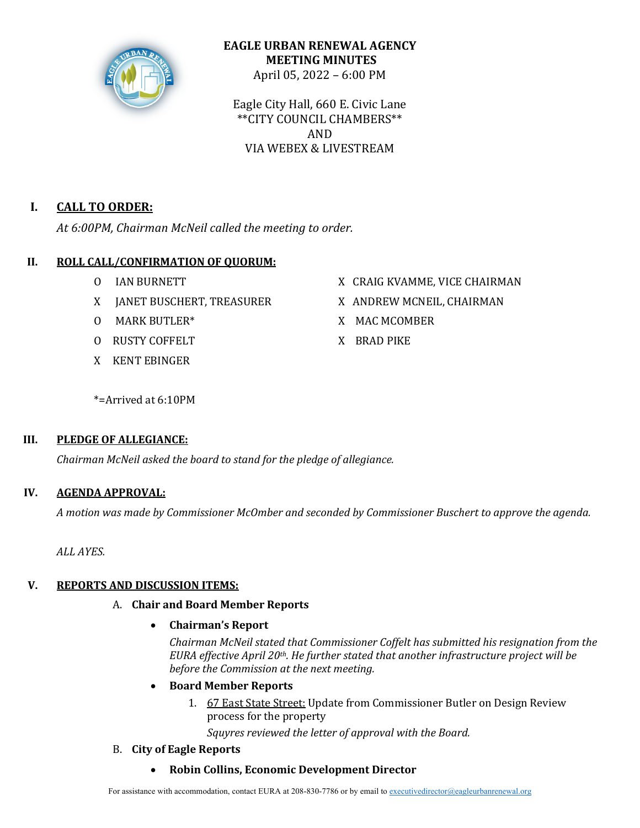

## **EAGLE URBAN RENEWAL AGENCY MEETING MINUTES** April 05, 2022 – 6:00 PM

Eagle City Hall, 660 E. Civic Lane \*\*CITY COUNCIL CHAMBERS\*\* AND VIA WEBEX & LIVESTREAM

# **I. CALL TO ORDER:**

At 6:00PM, Chairman McNeil called the meeting to order.

## **II. ROLL CALL/CONFIRMATION OF QUORUM:**

- 
- X JANET BUSCHERT, TREASURER X ANDREW MCNEIL, CHAIRMAN
- O MARK BUTLER\* X MAC MCOMBER
- O RUSTY COFFELT X BRAD PIKE
- X KENT EBINGER
- O IAN BURNETT X CRAIG KVAMME, VICE CHAIRMAN
	-
	-
	-

\*=Arrived at 6:10PM

## **III. PLEDGE OF ALLEGIANCE:**

*Chairman McNeil asked the board to stand for the pledge of allegiance.*

## **IV. AGENDA APPROVAL:**

*A motion was made by Commissioner McOmber and seconded by Commissioner Buschert to approve the agenda.*

*ALL AYES.*

## **V.** REPORTS AND DISCUSSION ITEMS:

A. **Chair and Board Member Reports**

## • **Chairman's Report**

*Chairman McNeil stated that Commissioner Coffelt has submitted his resignation from the EURA* effective April 20<sup>th</sup>. He further stated that another infrastructure project will be before the Commission at the next meeting.

- **Board Member Reports**
	- 1. 67 East State Street: Update from Commissioner Butler on Design Review process for the property

Squyres reviewed the letter of approval with the Board.

## B. **City of Eagle Reports**

• **Robin Collins, Economic Development Director**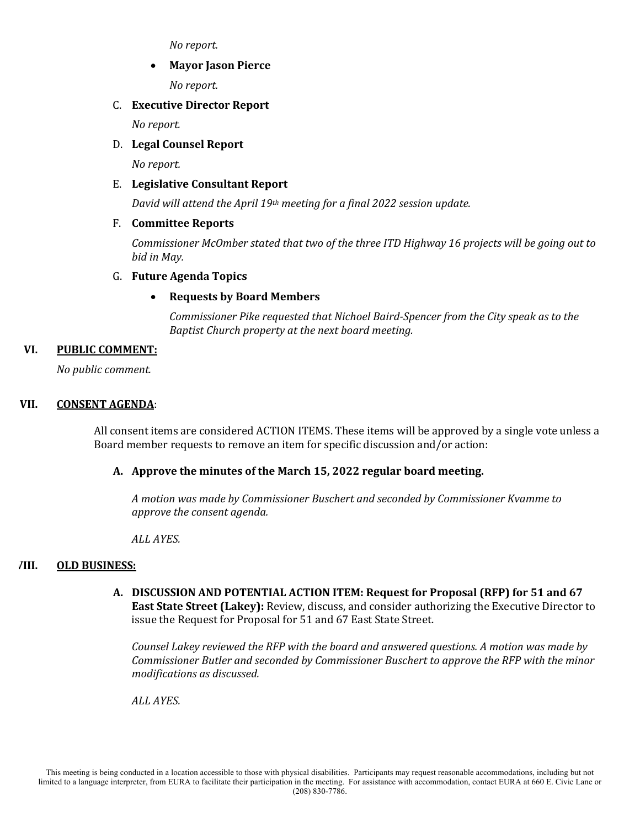*No report.*

### **Mayor Jason Pierce**

*No report.*

### C. **Executive Director Report**

*No report.*

### D. Legal Counsel Report

*No report.*

### E. **Legislative Consultant Report**

*David* will attend the April 19<sup>th</sup> meeting for a final 2022 session update.

### F. **Committee Reports**

*Commissioner McOmber stated that two of the three ITD Highway 16 projects will be going out to bid in May.*

### G. **Future Agenda Topics**

## • **Requests by Board Members**

*Commissioner Pike requested that Nichoel Baird-Spencer from the City speak as to the Baptist Church property at the next board meeting.* 

### VI. **PUBLIC COMMENT:**

*No public comment.*

### **VII. CONSENT AGENDA**:

All consent items are considered ACTION ITEMS. These items will be approved by a single vote unless a Board member requests to remove an item for specific discussion and/or action:

## A. Approve the minutes of the March 15, 2022 regular board meeting.

*A motion was made by Commissioner Buschert and seconded by Commissioner Kvamme to approve the consent agenda.* 

*ALL AYES.*

#### **VIII. OLD BUSINESS:**

A. DISCUSSION AND POTENTIAL ACTION ITEM: Request for Proposal (RFP) for 51 and 67 **East State Street (Lakey):** Review, discuss, and consider authorizing the Executive Director to issue the Request for Proposal for 51 and 67 East State Street.

*Counsel Lakey reviewed the RFP with the board and answered questions. A motion was made by Commissioner Butler and seconded by Commissioner Buschert to approve the RFP with the minor modifications as discussed.*

*ALL AYES.*